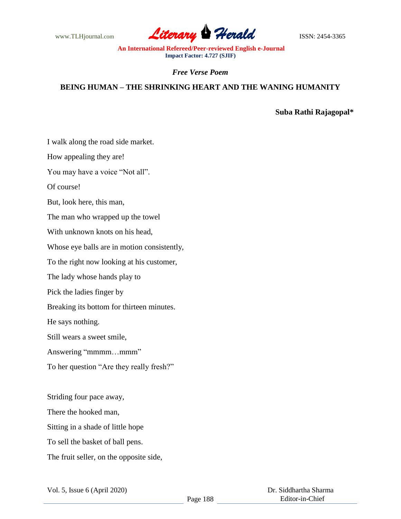

*Free Verse Poem*

## **BEING HUMAN – THE SHRINKING HEART AND THE WANING HUMANITY**

**Suba Rathi Rajagopal\***

I walk along the road side market.

How appealing they are!

You may have a voice "Not all".

Of course!

But, look here, this man,

The man who wrapped up the towel

With unknown knots on his head,

Whose eye balls are in motion consistently,

To the right now looking at his customer,

The lady whose hands play to

Pick the ladies finger by

Breaking its bottom for thirteen minutes.

He says nothing.

Still wears a sweet smile,

Answering "mmmm...mmm"

To her question "Are they really fresh?"

Striding four pace away, There the hooked man, Sitting in a shade of little hope To sell the basket of ball pens. The fruit seller, on the opposite side,

Vol. 5, Issue 6 (April 2020)

 Dr. Siddhartha Sharma Editor-in-Chief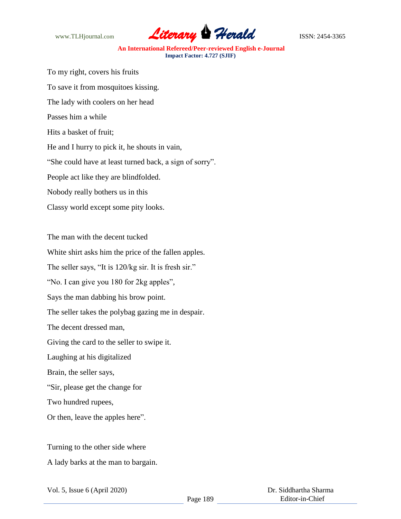

To my right, covers his fruits To save it from mosquitoes kissing. The lady with coolers on her head Passes him a while Hits a basket of fruit; He and I hurry to pick it, he shouts in vain, "She could have at least turned back, a sign of sorry". People act like they are blindfolded. Nobody really bothers us in this Classy world except some pity looks.

The man with the decent tucked

White shirt asks him the price of the fallen apples.

The seller says, "It is 120/kg sir. It is fresh sir."

"No. I can give you 180 for 2kg apples",

Says the man dabbing his brow point.

The seller takes the polybag gazing me in despair.

The decent dressed man,

Giving the card to the seller to swipe it.

Laughing at his digitalized

Brain, the seller says,

"Sir, please get the change for

Two hundred rupees,

Or then, leave the apples here".

Turning to the other side where A lady barks at the man to bargain.

Vol. 5, Issue 6 (April 2020)

 Dr. Siddhartha Sharma Editor-in-Chief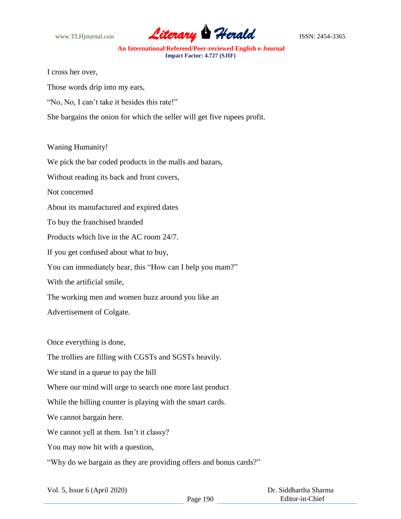

I cross her over,

Those words drip into my ears,

"No, No, I can't take it besides this rate!"

She bargains the onion for which the seller will get five rupees profit.

## Waning Humanity!

We pick the bar coded products in the malls and bazars,

Without reading its back and front covers,

Not concerned

About its manufactured and expired dates

To buy the franchised branded

Products which live in the AC room 24/7.

If you get confused about what to buy,

You can immediately hear, this "How can I help you mam?"

With the artificial smile,

The working men and women buzz around you like an

Advertisement of Colgate.

Once everything is done,

The trollies are filling with CGSTs and SGSTs heavily.

We stand in a queue to pay the bill

Where our mind will urge to search one more last product

While the billing counter is playing with the smart cards.

We cannot bargain here.

We cannot yell at them. Isn't it classy?

You may now hit with a question,

"Why do we bargain as they are providing offers and bonus cards?"

|  |  | Vol. 5, Issue 6 (April 2020) |  |
|--|--|------------------------------|--|
|--|--|------------------------------|--|

 Dr. Siddhartha Sharma Editor-in-Chief